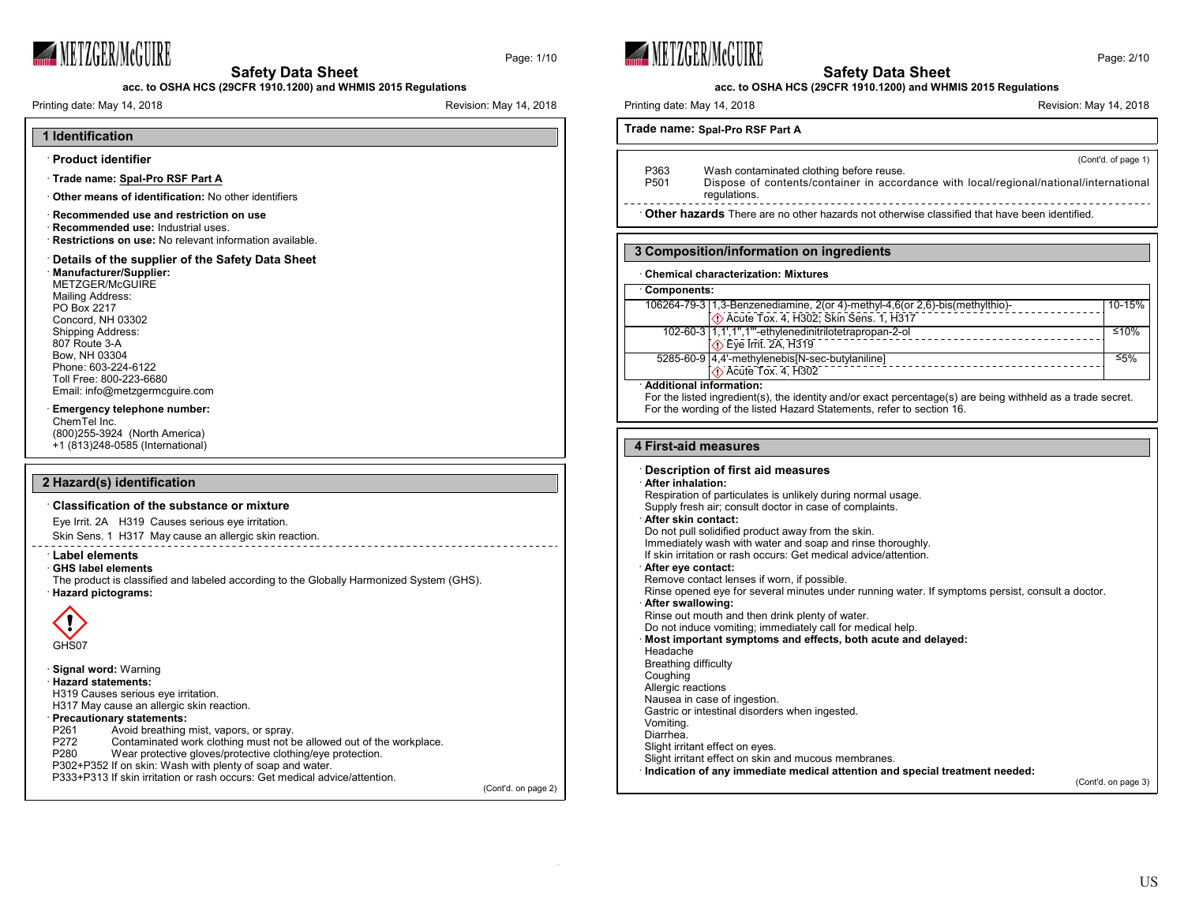

Page: 1/10



#### **Safety Data Sheet acc. to OSHA HCS (29CFR 1910.1200) and WHMIS 2015 Regulations acc. to OSHA HCS (29CFR 1910.1200) and WHMIS 2015 Regulations** Printing date: May 14, 2018 **Printing date: May 14, 2018** Revision: May 14, 2018 Printing date: May 14, 2018 **Printing date: May 14, 2018** Revision: May 14, 2018 **Trade name: Spal-Pro RSF Part A** (Cont'd. of page 1) P363 Wash contaminated clothing before reuse.<br>P501 Dispose of contents/container in accor Dispose of contents/container in accordance with local/regional/national/international regulations. · **Other hazards** There are no other hazards not otherwise classified that have been identified. **3 Composition/information on ingredients** · **Chemical characterization: Mixtures** · **Components:** 106264-79-3 1,3-Benzenediamine, 2(or 4)-methyl-4,6(or 2,6)-bis(methylthio)- 10-15% Acute Tox. 4, H302; Skin Sens. 1, H317 102-60-3 1,1',1'',1'''-ethylenedinitrilotetrapropan-2-ol ≤10%  $\overline{\diamond}$  Eye Irrit. 2A, H319 5285-60-9 4,4'-methylenebis[N-sec-butylaniline] ≤5%  $\bigcirc$  Acute Tox. 4, H302 · **Additional information:** For the listed ingredient(s), the identity and/or exact percentage(s) are being withheld as a trade secret. For the wording of the listed Hazard Statements, refer to section 16. **4 First-aid measures** · **Description of first aid measures** · **After inhalation:** Respiration of particulates is unlikely during normal usage. Supply fresh air; consult doctor in case of complaints. · **After skin contact:** Do not pull solidified product away from the skin. Immediately wash with water and soap and rinse thoroughly. If skin irritation or rash occurs: Get medical advice/attention. · **After eye contact:** Remove contact lenses if worn, if possible. Rinse opened eye for several minutes under running water. If symptoms persist, consult a doctor. · **After swallowing:** Rinse out mouth and then drink plenty of water. Do not induce vomiting; immediately call for medical help. · **Most important symptoms and effects, both acute and delayed:** Headache Breathing difficulty Coughing Allergic reactions Nausea in case of ingestion. Gastric or intestinal disorders when ingested. Vomiting. Diarrhea. Slight irritant effect on eyes. Slight irritant effect on skin and mucous membranes. · **Indication of any immediate medical attention and special treatment needed:** (Cont'd. on page 3) (Cont'd. on page 2)



P302+P352 If on skin: Wash with plenty of soap and water.

P333+P313 If skin irritation or rash occurs: Get medical advice/attention.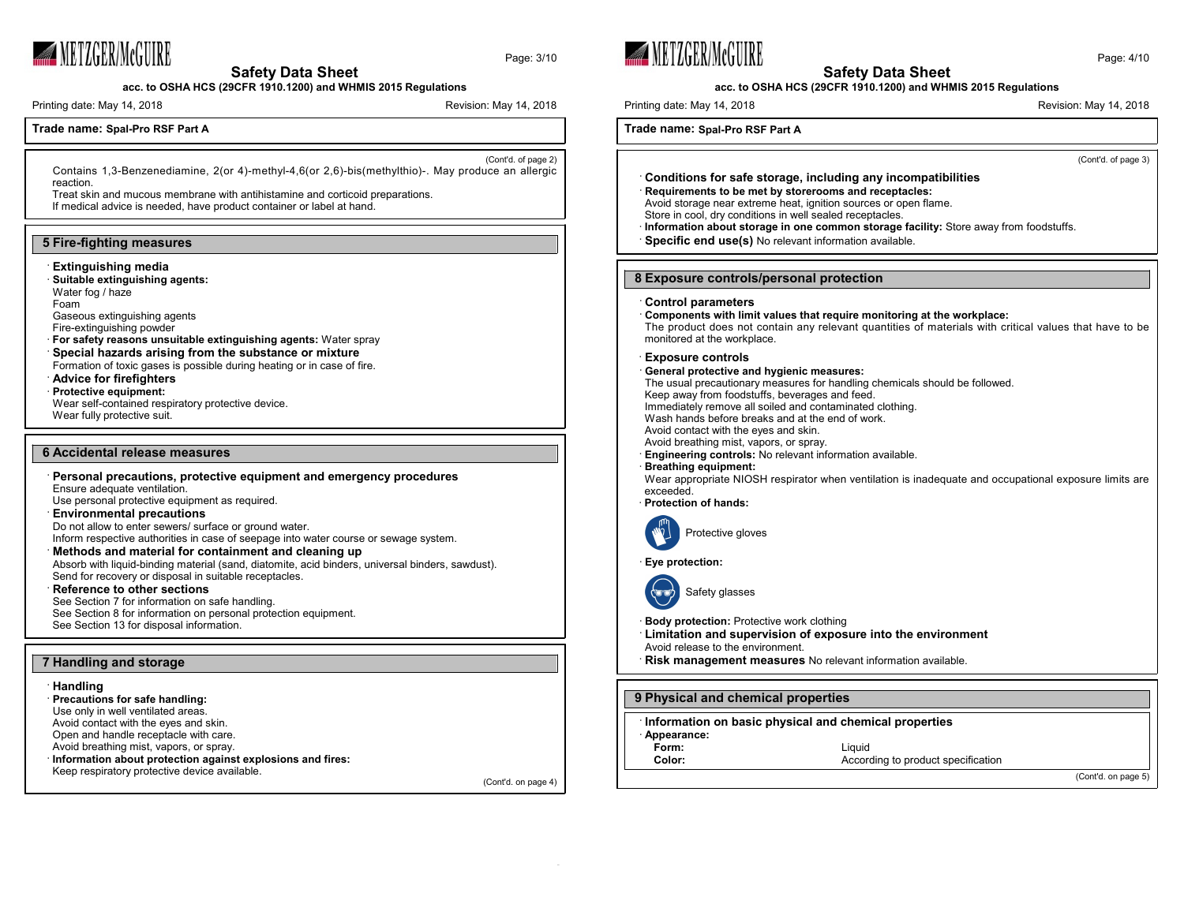

**acc. to OSHA HCS (29CFR 1910.1200) and WHMIS 2015 Regulations**

Printing date: May 14, 2018 **Printing date: May 14, 2018** Revision: May 14, 2018

Page: 3/10

# **Trade name: Spal-Pro RSF Part A**

(Cont'd. of page 2) Contains 1,3-Benzenediamine, 2(or 4)-methyl-4,6(or 2,6)-bis(methylthio)-. May produce an allergic reaction.

Treat skin and mucous membrane with antihistamine and corticoid preparations.

If medical advice is needed, have product container or label at hand.

## **5 Fire-fighting measures**

#### · **Extinguishing media**

· **Suitable extinguishing agents:** Water fog / haze

Foam

Gaseous extinguishing agents Fire-extinguishing powder

- · **For safety reasons unsuitable extinguishing agents:** Water spray
- · **Special hazards arising from the substance or mixture**
- Formation of toxic gases is possible during heating or in case of fire. · **Advice for firefighters**
- · **Protective equipment:**

Wear self-contained respiratory protective device.

Wear fully protective suit.

## **6 Accidental release measures**

· **Personal precautions, protective equipment and emergency procedures** Ensure adequate ventilation. Use personal protective equipment as required. · **Environmental precautions** Do not allow to enter sewers/ surface or ground water. Inform respective authorities in case of seepage into water course or sewage system. · **Methods and material for containment and cleaning up**

Absorb with liquid-binding material (sand, diatomite, acid binders, universal binders, sawdust). Send for recovery or disposal in suitable receptacles.

· **Reference to other sections** See Section 7 for information on safe handling. See Section 8 for information on personal protection equipment. See Section 13 for disposal information.

## **7 Handling and storage**

#### · **Handling**

· **Precautions for safe handling:** Use only in well ventilated areas. Avoid contact with the eyes and skin. Open and handle receptacle with care. Avoid breathing mist, vapors, or spray. · **Information about protection against explosions and fires:** Keep respiratory protective device available.

(Cont'd. on page 4)





**acc. to OSHA HCS (29CFR 1910.1200) and WHMIS 2015 Regulations**

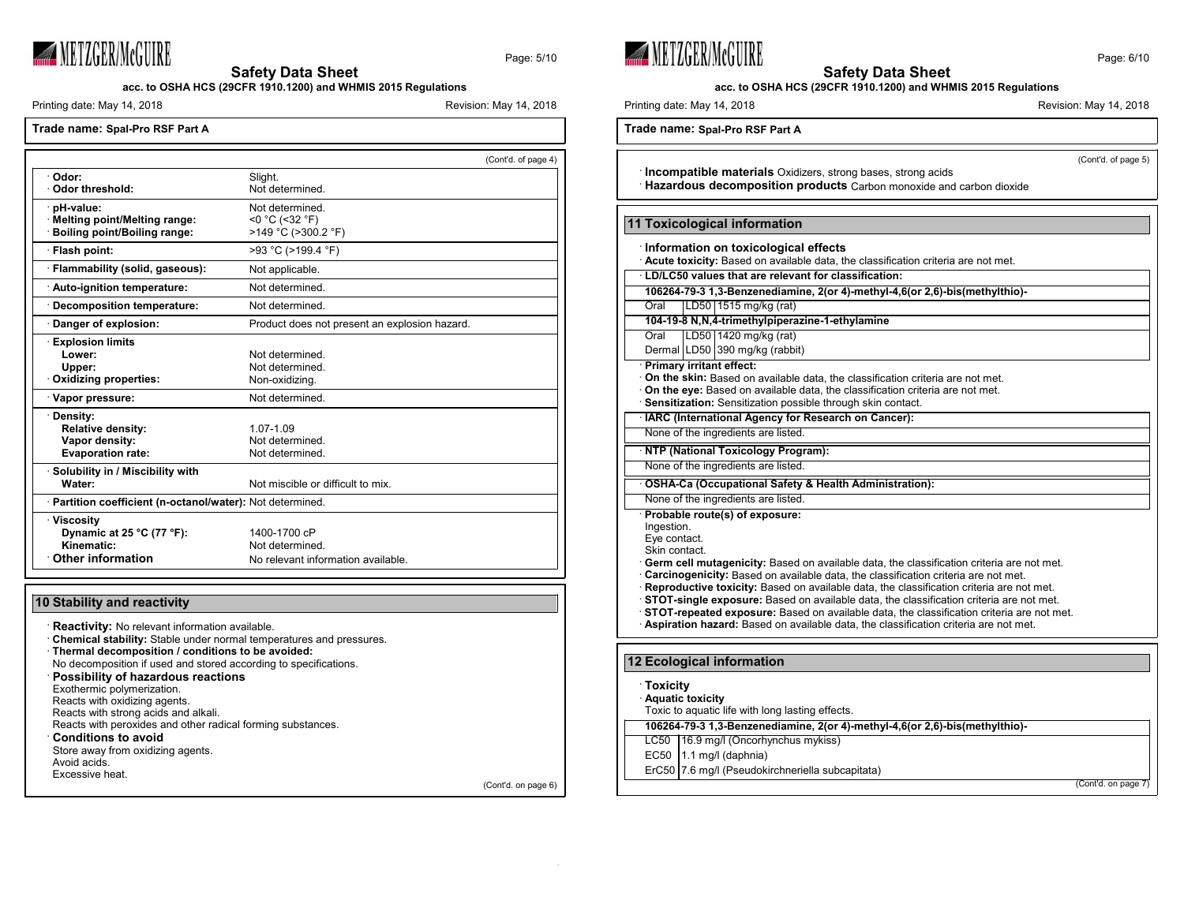

Page: 5/10

**acc. to OSHA HCS (29CFR 1910.1200) and WHMIS 2015 Regulations**

Printing date: May 14, 2018 Revision: May 14, 2018

**Trade name: Spal-Pro RSF Part A**

|                                                            |                                               | (Cont'd. of page 4) |
|------------------------------------------------------------|-----------------------------------------------|---------------------|
| Odor:                                                      | Slight.                                       |                     |
| Odor threshold:                                            | Not determined.                               |                     |
| pH-value:                                                  | Not determined.                               |                     |
| · Melting point/Melting range:                             | $<$ 0 °C (<32 °F)                             |                     |
| Boiling point/Boiling range:                               | >149 °C (>300.2 °F)                           |                     |
| · Flash point:                                             | >93 °C (>199.4 °F)                            |                     |
| · Flammability (solid, gaseous):                           | Not applicable.                               |                     |
| · Auto-ignition temperature:                               | Not determined.                               |                     |
| · Decomposition temperature:                               | Not determined.                               |                     |
| Danger of explosion:                                       | Product does not present an explosion hazard. |                     |
| <b>Explosion limits</b>                                    |                                               |                     |
| Lower:                                                     | Not determined.                               |                     |
| Upper:                                                     | Not determined.                               |                     |
| Oxidizing properties:                                      | Non-oxidizing.                                |                     |
| · Vapor pressure:                                          | Not determined.                               |                     |
| · Density:                                                 |                                               |                     |
| <b>Relative density:</b>                                   | 1.07-1.09                                     |                     |
| Vapor density:                                             | Not determined.                               |                     |
| <b>Evaporation rate:</b>                                   | Not determined.                               |                     |
| · Solubility in / Miscibility with                         |                                               |                     |
| Water:                                                     | Not miscible or difficult to mix.             |                     |
| · Partition coefficient (n-octanol/water): Not determined. |                                               |                     |
| · Viscosity                                                |                                               |                     |
| Dynamic at 25 °C (77 °F):                                  | 1400-1700 cP                                  |                     |
| Kinematic:                                                 | Not determined.                               |                     |
| <b>Other information</b>                                   | No relevant information available.            |                     |

# **10 Stability and reactivity**

**Reactivity:** No relevant information available. · **Chemical stability:** Stable under normal temperatures and pressures. · **Thermal decomposition / conditions to be avoided:** No decomposition if used and stored according to specifications. · **Possibility of hazardous reactions** Exothermic polymerization. Reacts with oxidizing agents. Reacts with strong acids and alkali. Reacts with peroxides and other radical forming substances. · **Conditions to avoid** Store away from oxidizing agents. Avoid acids. Excessive heat.

(Cont'd. on page 6)







## **acc. to OSHA HCS (29CFR 1910.1200) and WHMIS 2015 Regulations**

Printing date: May 14, 2018 Revision: May 14, 2018

(Cont'd. on page

EC50  $\vert$  1.1 mg/l (daphnia)

ErC50 7.6 mg/l (Pseudokirchneriella subcapitata)

| Trade name: Spal-Pro RSF Part A                                                                                                                                                                                                                                                                                                                                                                                                                                                                                                                                                                                                                       |  |  |
|-------------------------------------------------------------------------------------------------------------------------------------------------------------------------------------------------------------------------------------------------------------------------------------------------------------------------------------------------------------------------------------------------------------------------------------------------------------------------------------------------------------------------------------------------------------------------------------------------------------------------------------------------------|--|--|
| (Cont'd. of page 5)<br>Incompatible materials Oxidizers, strong bases, strong acids<br>Hazardous decomposition products Carbon monoxide and carbon dioxide                                                                                                                                                                                                                                                                                                                                                                                                                                                                                            |  |  |
| 11 Toxicological information                                                                                                                                                                                                                                                                                                                                                                                                                                                                                                                                                                                                                          |  |  |
| Information on toxicological effects<br>· Acute toxicity: Based on available data, the classification criteria are not met.                                                                                                                                                                                                                                                                                                                                                                                                                                                                                                                           |  |  |
| LD/LC50 values that are relevant for classification:<br>106264-79-3 1,3-Benzenediamine, 2(or 4)-methyl-4,6(or 2,6)-bis(methylthio)-                                                                                                                                                                                                                                                                                                                                                                                                                                                                                                                   |  |  |
| LD50 1515 mg/kg (rat)<br>Oral                                                                                                                                                                                                                                                                                                                                                                                                                                                                                                                                                                                                                         |  |  |
| 104-19-8 N, N, 4-trimethylpiperazine-1-ethylamine                                                                                                                                                                                                                                                                                                                                                                                                                                                                                                                                                                                                     |  |  |
| LD50 1420 mg/kg (rat)<br>Oral<br>Dermal LD50 390 mg/kg (rabbit)                                                                                                                                                                                                                                                                                                                                                                                                                                                                                                                                                                                       |  |  |
| Primary irritant effect:<br>On the skin: Based on available data, the classification criteria are not met.<br>On the eye: Based on available data, the classification criteria are not met.<br>· Sensitization: Sensitization possible through skin contact.                                                                                                                                                                                                                                                                                                                                                                                          |  |  |
| · IARC (International Agency for Research on Cancer):                                                                                                                                                                                                                                                                                                                                                                                                                                                                                                                                                                                                 |  |  |
| None of the ingredients are listed.                                                                                                                                                                                                                                                                                                                                                                                                                                                                                                                                                                                                                   |  |  |
| <b>NTP (National Toxicology Program):</b>                                                                                                                                                                                                                                                                                                                                                                                                                                                                                                                                                                                                             |  |  |
| None of the ingredients are listed.                                                                                                                                                                                                                                                                                                                                                                                                                                                                                                                                                                                                                   |  |  |
| OSHA-Ca (Occupational Safety & Health Administration):                                                                                                                                                                                                                                                                                                                                                                                                                                                                                                                                                                                                |  |  |
| None of the ingredients are listed.                                                                                                                                                                                                                                                                                                                                                                                                                                                                                                                                                                                                                   |  |  |
| Probable route(s) of exposure:<br>Ingestion.<br>Eye contact.<br>Skin contact.<br><b>Germ cell mutagenicity:</b> Based on available data, the classification criteria are not met.<br>Carcinogenicity: Based on available data, the classification criteria are not met.<br>· Reproductive toxicity: Based on available data, the classification criteria are not met.<br>STOT-single exposure: Based on available data, the classification criteria are not met.<br>STOT-repeated exposure: Based on available data, the classification criteria are not met.<br>Aspiration hazard: Based on available data, the classification criteria are not met. |  |  |
| 12 Ecological information                                                                                                                                                                                                                                                                                                                                                                                                                                                                                                                                                                                                                             |  |  |
| <b>Toxicity</b><br>Aquatic toxicity<br>Toxic to aquatic life with long lasting effects.                                                                                                                                                                                                                                                                                                                                                                                                                                                                                                                                                               |  |  |
| 106264-79-3 1,3-Benzenediamine, 2(or 4)-methyl-4,6(or 2,6)-bis(methylthio)-                                                                                                                                                                                                                                                                                                                                                                                                                                                                                                                                                                           |  |  |
| LC50   16.9 mg/l (Oncorhynchus mykiss)                                                                                                                                                                                                                                                                                                                                                                                                                                                                                                                                                                                                                |  |  |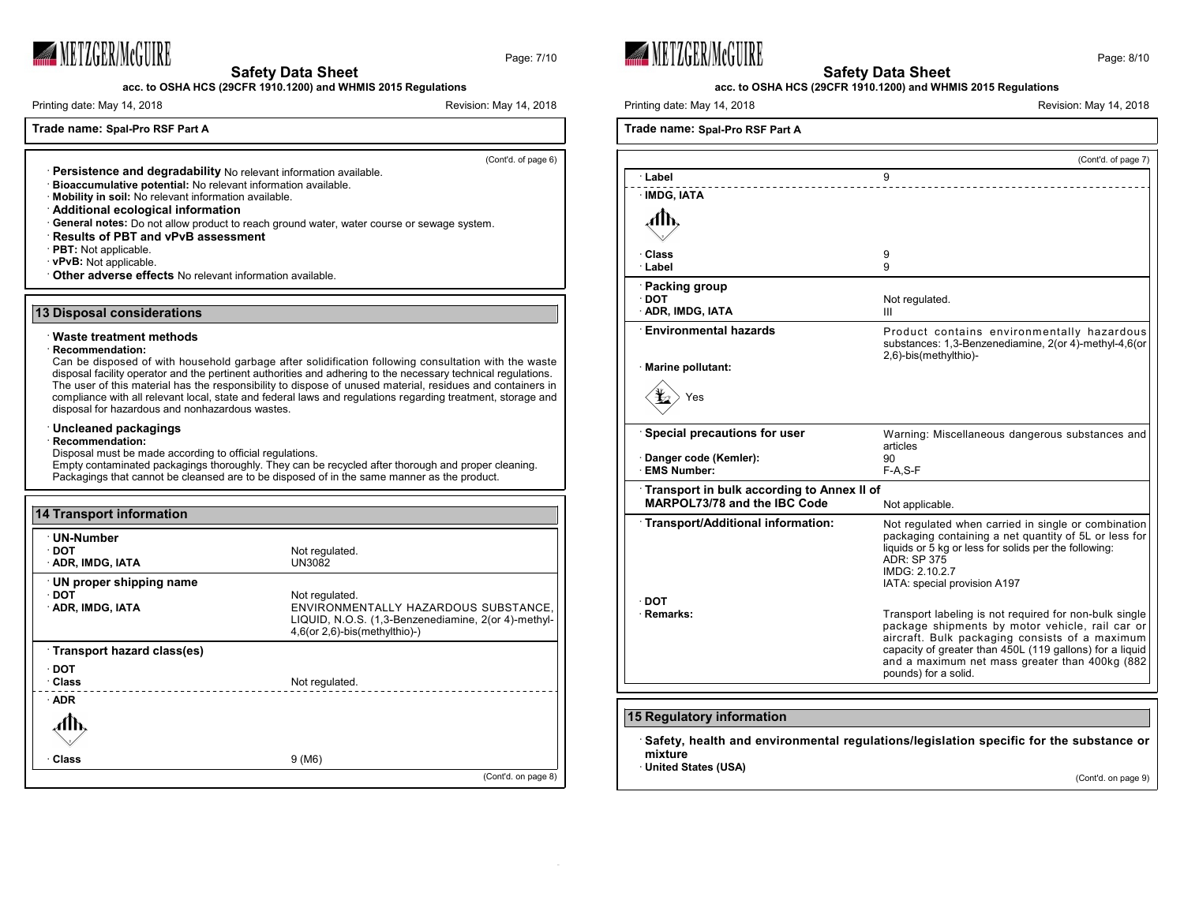

Page: 7/10

**acc. to OSHA HCS (29CFR 1910.1200) and WHMIS 2015 Regulations**

Printing date: May 14, 2018 **Printing date: May 14, 2018** Revision: May 14, 2018

## **Trade name: Spal-Pro RSF Part A**

(Cont'd. of page 6)

- · **Persistence and degradability** No relevant information available. · **Bioaccumulative potential:** No relevant information available. · **Mobility in soil:** No relevant information available.
- · **Additional ecological information**
- · **General notes:** Do not allow product to reach ground water, water course or sewage system.
- · **Results of PBT and vPvB assessment**
- · **PBT:** Not applicable.
- · **vPvB:** Not applicable.
- · **Other adverse effects** No relevant information available.

#### **13 Disposal considerations**

### · **Waste treatment methods**

#### · **Recommendation:**

Can be disposed of with household garbage after solidification following consultation with the waste disposal facility operator and the pertinent authorities and adhering to the necessary technical regulations. The user of this material has the responsibility to dispose of unused material, residues and containers in compliance with all relevant local, state and federal laws and regulations regarding treatment, storage and disposal for hazardous and nonhazardous wastes.

#### · **Uncleaned packagings**

## · **Recommendation:**

Disposal must be made according to official regulations.

Empty contaminated packagings thoroughly. They can be recycled after thorough and proper cleaning. Packagings that cannot be cleansed are to be disposed of in the same manner as the product.

| <b>14 Transport information</b> |                                                                                                                                     |
|---------------------------------|-------------------------------------------------------------------------------------------------------------------------------------|
| · UN-Number                     |                                                                                                                                     |
| ⊹DOT                            | Not regulated.                                                                                                                      |
| <b>ADR, IMDG, IATA</b>          | UN3082                                                                                                                              |
| UN proper shipping name         |                                                                                                                                     |
| $\cdot$ DOT                     | Not regulated.                                                                                                                      |
| <b>ADR, IMDG, IATA</b>          | ENVIRONMENTALLY HAZARDOUS SUBSTANCE,<br>LIQUID, N.O.S. (1,3-Benzenediamine, 2(or 4)-methyl-<br>$4,6$ (or $2,6$ )-bis (methylthio)-) |
| Transport hazard class(es)      |                                                                                                                                     |
| ∙ DOT                           |                                                                                                                                     |
| · Class                         | Not regulated.                                                                                                                      |
| $\cdot$ ADR                     |                                                                                                                                     |
|                                 |                                                                                                                                     |
| · Class                         | 9(MA)                                                                                                                               |
|                                 | (Cont'd. on page 8)                                                                                                                 |





## **Safety Data Sheet acc. to OSHA HCS (29CFR 1910.1200) and WHMIS 2015 Regulations**

Printing date: May 14, 2018 **Printing date: May 14, 2018** Revision: May 14, 2018

|                                                                            | (Cont'd. of page 7)                                                                                                                                                                                                                                                                               |
|----------------------------------------------------------------------------|---------------------------------------------------------------------------------------------------------------------------------------------------------------------------------------------------------------------------------------------------------------------------------------------------|
| ∴Label                                                                     | 9                                                                                                                                                                                                                                                                                                 |
| <b>IMDG, IATA</b>                                                          |                                                                                                                                                                                                                                                                                                   |
|                                                                            |                                                                                                                                                                                                                                                                                                   |
| ⊪Class<br>Label                                                            | 9<br>9                                                                                                                                                                                                                                                                                            |
| <b>Packing group</b><br>∙ DOT<br>ADR, IMDG, IATA                           | Not regulated.<br>Ш                                                                                                                                                                                                                                                                               |
| <b>Environmental hazards</b>                                               | Product contains environmentally hazardous<br>substances: 1,3-Benzenediamine, 2(or 4)-methyl-4,6(or<br>2,6)-bis(methylthio)-                                                                                                                                                                      |
| Marine pollutant:<br>Yes                                                   |                                                                                                                                                                                                                                                                                                   |
| Special precautions for user '<br>Danger code (Kemler):<br>· EMS Number:   | Warning: Miscellaneous dangerous substances and<br>articles<br>90<br>$F-A, S-F$                                                                                                                                                                                                                   |
| Transport in bulk according to Annex II of<br>MARPOL73/78 and the IBC Code | Not applicable.                                                                                                                                                                                                                                                                                   |
| Transport/Additional information:                                          | Not regulated when carried in single or combination<br>packaging containing a net quantity of 5L or less for<br>liquids or 5 kg or less for solids per the following:<br><b>ADR: SP 375</b><br>IMDG: 2.10.2.7<br>IATA: special provision A197                                                     |
| ∙ DOT<br>· Remarks:                                                        | Transport labeling is not required for non-bulk single<br>package shipments by motor vehicle, rail car or<br>aircraft. Bulk packaging consists of a maximum<br>capacity of greater than 450L (119 gallons) for a liquid<br>and a maximum net mass greater than 400kg (882<br>pounds) for a solid. |
| <b>15 Regulatory information</b>                                           |                                                                                                                                                                                                                                                                                                   |

(Cont'd. on page 9)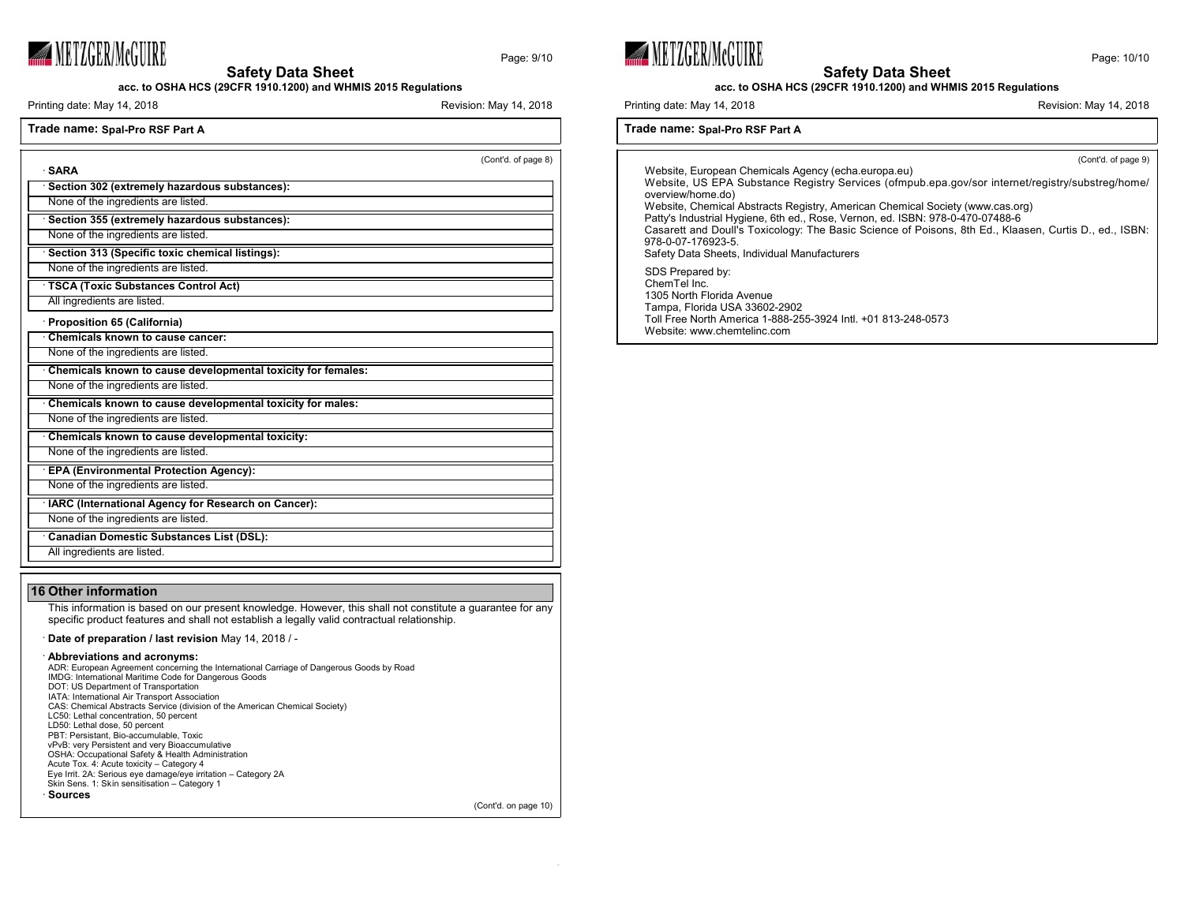

Page: 9/10

**Safety Data Sheet**

**acc. to OSHA HCS (29CFR 1910.1200) and WHMIS 2015 Regulations**

Printing date: May 14, 2018 **Printing date: May 14, 2018** Revision: May 14, 2018

(Cont'd. on page 10)

| <b>SARA</b>                                                  | (Cont'd. of page 8) |
|--------------------------------------------------------------|---------------------|
| Section 302 (extremely hazardous substances):                |                     |
| None of the ingredients are listed.                          |                     |
| Section 355 (extremely hazardous substances):                |                     |
| None of the ingredients are listed.                          |                     |
| Section 313 (Specific toxic chemical listings):              |                     |
| None of the ingredients are listed.                          |                     |
| TSCA (Toxic Substances Control Act)                          |                     |
| All ingredients are listed.                                  |                     |
| Proposition 65 (California)                                  |                     |
| Chemicals known to cause cancer:                             |                     |
| None of the ingredients are listed.                          |                     |
| Chemicals known to cause developmental toxicity for females: |                     |
| None of the ingredients are listed.                          |                     |
| Chemicals known to cause developmental toxicity for males:   |                     |
| None of the ingredients are listed.                          |                     |
| Chemicals known to cause developmental toxicity:             |                     |
| None of the ingredients are listed.                          |                     |
| <b>EPA (Environmental Protection Agency):</b>                |                     |
| None of the ingredients are listed.                          |                     |
| IARC (International Agency for Research on Cancer):          |                     |
| None of the ingredients are listed.                          |                     |
| <b>Canadian Domestic Substances List (DSL):</b>              |                     |
| All ingredients are listed.                                  |                     |

## **16 Other information**

This information is based on our present knowledge. However, this shall not constitute a guarantee for any specific product features and shall not establish a legally valid contractual relationship.

· **Date of preparation / last revision** May 14, 2018 / -

#### · **Abbreviations and acronyms:**

| ADR: European Agreement concerning the International Carriage of Dangerous Goods by Road |
|------------------------------------------------------------------------------------------|
| IMDG: International Maritime Code for Dangerous Goods                                    |
| DOT: US Department of Transportation                                                     |
| IATA: International Air Transport Association                                            |
| CAS: Chemical Abstracts Service (division of the American Chemical Society)              |
| LC50: Lethal concentration, 50 percent                                                   |
| LD50: Lethal dose, 50 percent                                                            |
| PBT: Persistant, Bio-accumulable, Toxic                                                  |
| vPvB: very Persistent and very Bioaccumulative                                           |
| OSHA: Occupational Safety & Health Administration                                        |
| Acute Tox. 4: Acute toxicity - Category 4                                                |
| Eye Irrit. 2A: Serious eye damage/eye irritation - Category 2A                           |
| Skin Sens. 1: Skin sensitisation - Category 1                                            |
| ∙ Sources                                                                                |
|                                                                                          |





**acc. to OSHA HCS (29CFR 1910.1200) and WHMIS 2015 Regulations**

Printing date: May 14, 2018 **Printing date: May 14, 2018** Revision: May 14, 2018

## **Trade name: Spal-Pro RSF Part A**

(Cont'd. of page 9) Website, European Chemicals Agency (echa.europa.eu) Website, US EPA Substance Registry Services (ofmpub.epa.gov/sor internet/registry/substreg/home/ overview/home.do) Website, Chemical Abstracts Registry, American Chemical Society (www.cas.org) Patty's Industrial Hygiene, 6th ed., Rose, Vernon, ed. ISBN: 978-0-470-07488-6 Casarett and Doull's Toxicology: The Basic Science of Poisons, 8th Ed., Klaasen, Curtis D., ed., ISBN: 978-0-07-176923-5. Safety Data Sheets, Individual Manufacturers SDS Prepared by: ChemTel Inc. 1305 North Florida Avenue Tampa, Florida USA 33602-2902 Toll Free North America 1-888-255-3924 Intl. +01 813-248-0573

Website: www.chemtelinc.com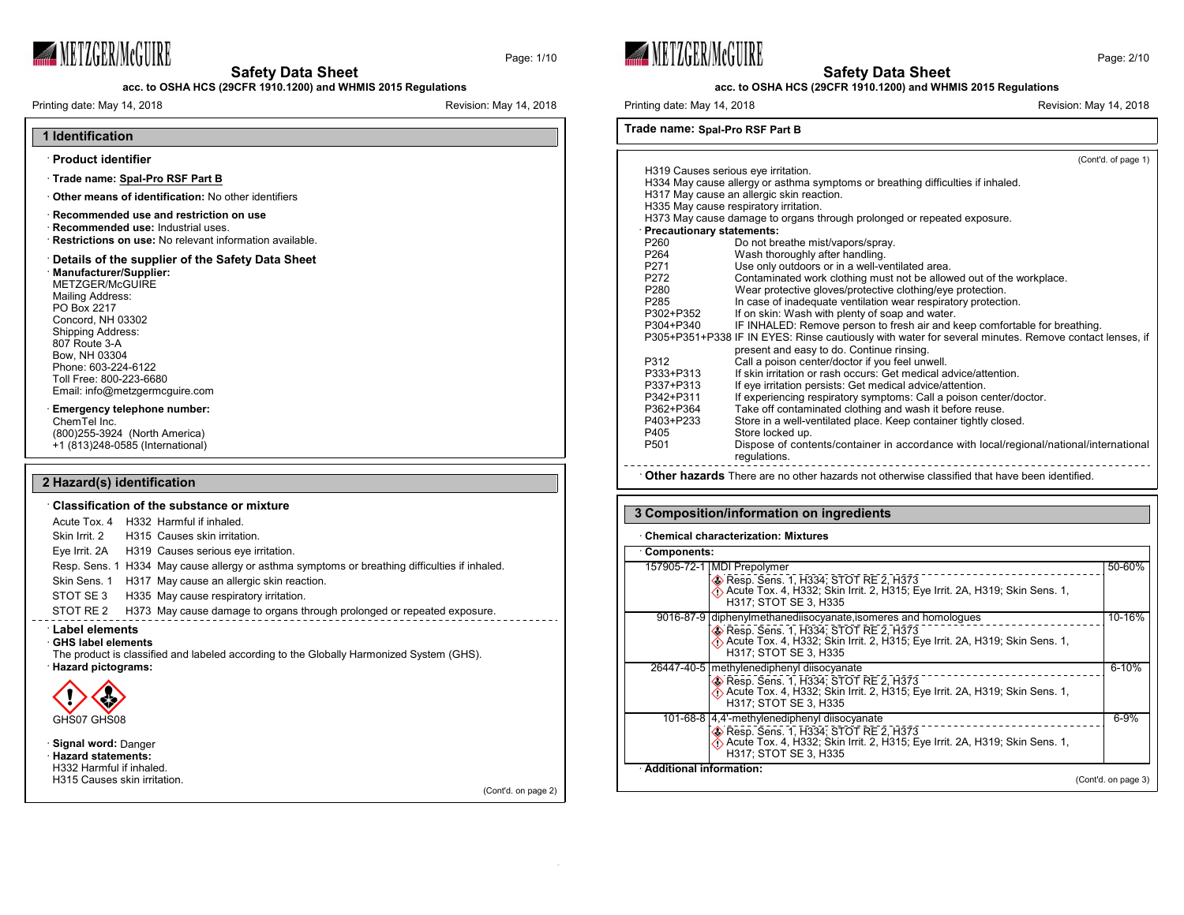

Page: 1/10

**acc. to OSHA HCS (29CFR 1910.1200) and WHMIS 2015 Regulations**

Printing date: May 14, 2018 **Printing date: May 14, 2018** Revision: May 14, 2018

| 1 Identification |
|------------------|

#### · **Product identifier**

- · **Trade name: Spal-Pro RSF Part B**
- · **Other means of identification:** No other identifiers
- · **Recommended use and restriction on use** · **Recommended use:** Industrial uses. · **Restrictions on use:** No relevant information available.
- · **Details of the supplier of the Safety Data Sheet**

#### · **Manufacturer/Supplier:**

METZGER/McGUIRE Mailing Address: PO Box 2217 Concord, NH 03302 Shipping Address: 807 Route 3-A Bow, NH 03304 Phone: 603-224-6122 Toll Free: 800-223-6680 Email: info@metzgermcguire.com

## · **Emergency telephone number:**

ChemTel Inc. (800)255-3924 (North America) +1 (813)248-0585 (International)

## **2 Hazard(s) identification**

| $\cdot$ Classification of the substance or mixture                                                        |  |                                                                                               |
|-----------------------------------------------------------------------------------------------------------|--|-----------------------------------------------------------------------------------------------|
|                                                                                                           |  | Acute Tox. 4 H332 Harmful if inhaled.                                                         |
|                                                                                                           |  | Skin Irrit. 2 H315 Causes skin irritation.                                                    |
|                                                                                                           |  | Eye Irrit. 2A H319 Causes serious eye irritation.                                             |
|                                                                                                           |  | Resp. Sens. 1 H334 May cause allergy or asthma symptoms or breathing difficulties if inhaled. |
|                                                                                                           |  | Skin Sens. 1 H317 May cause an allergic skin reaction.                                        |
| STOT SE 3                                                                                                 |  | H335 May cause respiratory irritation.                                                        |
| STOT RE 2                                                                                                 |  | H373 May cause damage to organs through prolonged or repeated exposure.                       |
| <b>Label elements</b><br>⋅ GHS label elements<br>· Hazard pictograms:<br>GHS07 GHS08                      |  | The product is classified and labeled according to the Globally Harmonized System (GHS).      |
| · Signal word: Danger<br>· Hazard statements:<br>H332 Harmful if inhaled.<br>H315 Causes skin irritation. |  | (Cont'd. on page 2)                                                                           |

**WETZGER/McGUIRE** 



```
Printing date: May 14, 2018 Printing date: May 14, 2018 Revision: May 14, 2018
```
## **Trade name: Spal-Pro RSF Part B**

|                                     |                                                                                                       | (Cont'd. of page 1) |
|-------------------------------------|-------------------------------------------------------------------------------------------------------|---------------------|
| H319 Causes serious eye irritation. |                                                                                                       |                     |
|                                     | H334 May cause allergy or asthma symptoms or breathing difficulties if inhaled.                       |                     |
|                                     | H317 May cause an allergic skin reaction.                                                             |                     |
|                                     | H335 May cause respiratory irritation.                                                                |                     |
|                                     | H373 May cause damage to organs through prolonged or repeated exposure.                               |                     |
| · Precautionary statements:         |                                                                                                       |                     |
| P260                                | Do not breathe mist/vapors/spray.                                                                     |                     |
| P264                                | Wash thoroughly after handling.                                                                       |                     |
| P271                                | Use only outdoors or in a well-ventilated area.                                                       |                     |
| P272                                | Contaminated work clothing must not be allowed out of the workplace.                                  |                     |
| P <sub>280</sub>                    | Wear protective gloves/protective clothing/eye protection.                                            |                     |
| P <sub>285</sub>                    | In case of inadequate ventilation wear respiratory protection.                                        |                     |
| P302+P352                           | If on skin: Wash with plenty of soap and water.                                                       |                     |
| P304+P340                           | IF INHALED: Remove person to fresh air and keep comfortable for breathing.                            |                     |
|                                     | P305+P351+P338 IF IN EYES: Rinse cautiously with water for several minutes. Remove contact lenses, if |                     |
|                                     | present and easy to do. Continue rinsing.                                                             |                     |
| P312                                | Call a poison center/doctor if you feel unwell.                                                       |                     |
| P333+P313                           | If skin irritation or rash occurs: Get medical advice/attention.                                      |                     |
| P337+P313                           | If eye irritation persists: Get medical advice/attention.                                             |                     |
| P342+P311                           | If experiencing respiratory symptoms: Call a poison center/doctor.                                    |                     |
| P362+P364                           | Take off contaminated clothing and wash it before reuse.                                              |                     |
| P403+P233                           | Store in a well-ventilated place. Keep container tightly closed.                                      |                     |
| P405                                | Store locked up.                                                                                      |                     |
| P <sub>501</sub>                    | Dispose of contents/container in accordance with local/regional/national/international                |                     |
|                                     | requlations.                                                                                          |                     |
|                                     |                                                                                                       |                     |

· **Other hazards** There are no other hazards not otherwise classified that have been identified.

## **3 Composition/information on ingredients**

#### · **Chemical characterization: Mixtures**

| Components:                                                                                                                                           |                     |  |
|-------------------------------------------------------------------------------------------------------------------------------------------------------|---------------------|--|
| 157905-72-1   MDI Prepolymer                                                                                                                          | 50-60%              |  |
| Resp. Sens. 1, H334; STOT RE 2, H373<br>Acute Tox. 4, H332; Skin Irrit. 2, H315; Eye Irrit. 2A, H319; Skin Sens. 1,<br>H317: STOT SE 3. H335          |                     |  |
| 9016-87-9 diphenylmethanediisocyanate, isomeres and homologues                                                                                        | 10-16%              |  |
| Resp. Sens. 1, H334; STOT RE 2, H373<br>Acute Tox. 4, H332; Skin Irrit. 2, H315; Eye Irrit. 2A, H319; Skin Sens. 1,<br>H317: STOT SE 3. H335          |                     |  |
| 26447-40-5   methylenediphenyl diisocyanate                                                                                                           | $6 - 10%$           |  |
| <b>B</b> Resp. Sens. 1, H334; STOT RE 2, H373<br>Acute Tox. 4, H332; Skin Irrit. 2, H315; Eye Irrit. 2A, H319; Skin Sens. 1,<br>H317: STOT SE 3. H335 |                     |  |
| 101-68-8 4,4'-methylenediphenyl diisocyanate                                                                                                          | $6 - 9%$            |  |
| Resp. Sens. 1, H334; STOT RE 2, H373<br>Acute Tox. 4, H332; Skin Irrit. 2, H315; Eye Irrit. 2A, H319; Skin Sens. 1,<br>H317: STOT SE 3. H335          |                     |  |
| · Additional information:                                                                                                                             |                     |  |
|                                                                                                                                                       | (Cont'd. on page 3) |  |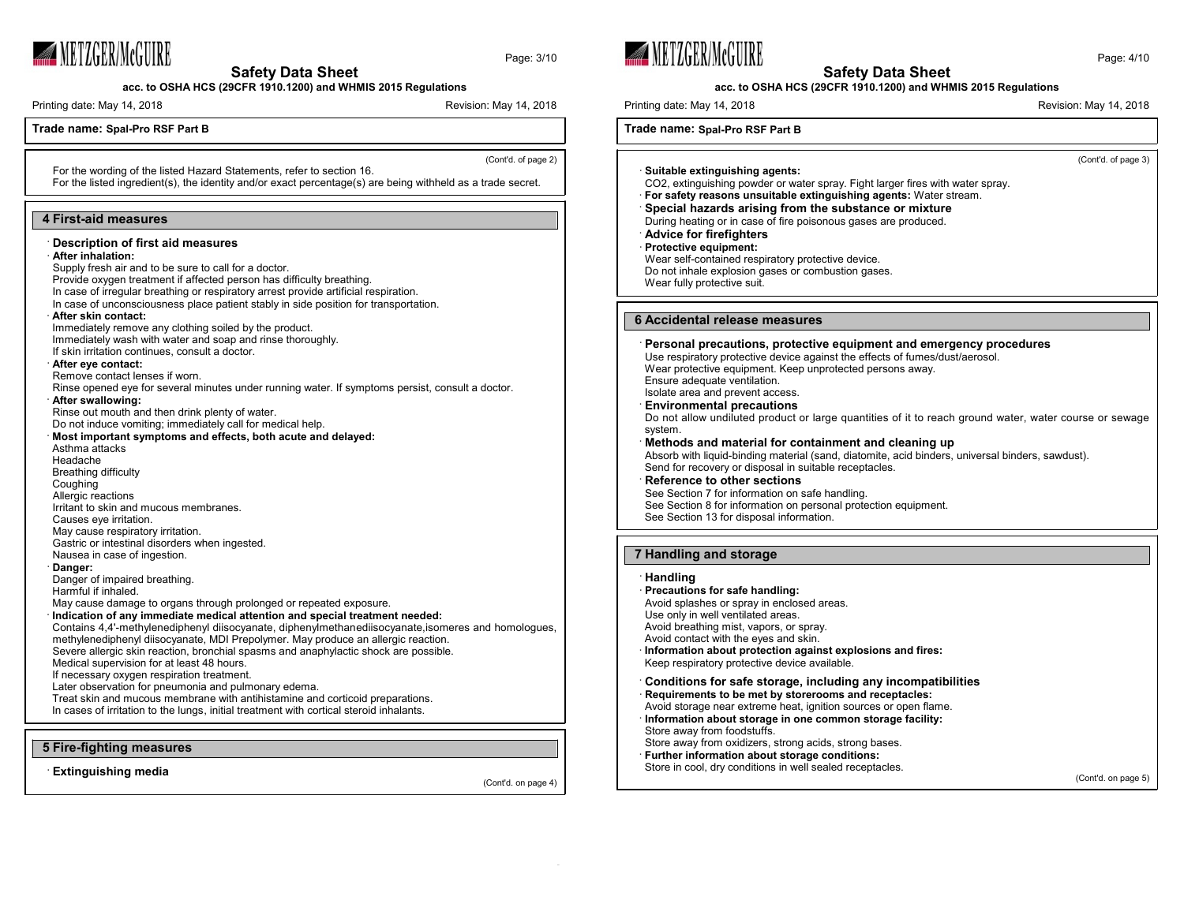

**acc. to OSHA HCS (29CFR 1910.1200) and WHMIS 2015 Regulations**

Printing date: May 14, 2018 **Printing date: May 14, 2018** Revision: May 14, 2018

## **Trade name: Spal-Pro RSF Part B**

(Cont'd. of page 2)

Page: 3/10

For the wording of the listed Hazard Statements, refer to section 16. For the listed ingredient(s), the identity and/or exact percentage(s) are being withheld as a trade secret.

#### **4 First-aid measures**

## · **Description of first aid measures**

#### · **After inhalation:**

Supply fresh air and to be sure to call for a doctor.

Provide oxygen treatment if affected person has difficulty breathing.

In case of irregular breathing or respiratory arrest provide artificial respiration.

In case of unconsciousness place patient stably in side position for transportation.

#### · **After skin contact:**

Immediately remove any clothing soiled by the product.

Immediately wash with water and soap and rinse thoroughly. If skin irritation continues, consult a doctor.

#### · **After eye contact:**

Remove contact lenses if worn.

Rinse opened eye for several minutes under running water. If symptoms persist, consult a doctor.

#### · **After swallowing:**

Rinse out mouth and then drink plenty of water.

Do not induce vomiting; immediately call for medical help.

## · **Most important symptoms and effects, both acute and delayed:**

Asthma attacks

Headache

- Breathing difficulty
- Coughing
- Allergic reactions
- Irritant to skin and mucous membranes.
- Causes eye irritation.
- May cause respiratory irritation.
- Gastric or intestinal disorders when ingested.

Nausea in case of ingestion.

#### · **Danger:**

Danger of impaired breathing. Harmful if inhaled.

May cause damage to organs through prolonged or repeated exposure.

## · **Indication of any immediate medical attention and special treatment needed:**

Contains 4,4'-methylenediphenyl diisocyanate, diphenylmethanediisocyanate,isomeres and homologues, methylenediphenyl diisocyanate, MDI Prepolymer. May produce an allergic reaction.

Severe allergic skin reaction, bronchial spasms and anaphylactic shock are possible.

Medical supervision for at least 48 hours.

If necessary oxygen respiration treatment.

Later observation for pneumonia and pulmonary edema.

Treat skin and mucous membrane with antihistamine and corticoid preparations.

In cases of irritation to the lungs, initial treatment with cortical steroid inhalants.

#### **5 Fire-fighting measures**

· **Extinguishing media**

(Cont'd. on page 4)





## **acc. to OSHA HCS (29CFR 1910.1200) and WHMIS 2015 Regulations**

Printing date: May 14, 2018 **Revision: May 14, 2018** Revision: May 14, 2018

**Trade name: Spal-Pro RSF Part B**

(Cont'd. of page 3)

· **Suitable extinguishing agents:** CO2, extinguishing powder or water spray. Fight larger fires with water spray.

· **For safety reasons unsuitable extinguishing agents:** Water stream.

## · **Special hazards arising from the substance or mixture**

During heating or in case of fire poisonous gases are produced.

· **Advice for firefighters**

#### · **Protective equipment:**

Wear self-contained respiratory protective device. Do not inhale explosion gases or combustion gases. Wear fully protective suit.

#### **6 Accidental release measures**

## · **Personal precautions, protective equipment and emergency procedures** Use respiratory protective device against the effects of fumes/dust/aerosol. Wear protective equipment. Keep unprotected persons away.

Ensure adequate ventilation.

#### Isolate area and prevent access. · **Environmental precautions**

Do not allow undiluted product or large quantities of it to reach ground water, water course or sewage system.

## · **Methods and material for containment and cleaning up**

Absorb with liquid-binding material (sand, diatomite, acid binders, universal binders, sawdust). Send for recovery or disposal in suitable receptacles.

#### · **Reference to other sections** See Section 7 for information on safe handling. See Section 8 for information on personal protection equipment. See Section 13 for disposal information.

#### **7 Handling and storage**

## · **Handling**

· **Precautions for safe handling:** Avoid splashes or spray in enclosed areas. Use only in well ventilated areas. Avoid breathing mist, vapors, or spray.

Avoid contact with the eyes and skin.

- · **Information about protection against explosions and fires:** Keep respiratory protective device available.
- · **Conditions for safe storage, including any incompatibilities**
- · **Requirements to be met by storerooms and receptacles:**
- Avoid storage near extreme heat, ignition sources or open flame. · **Information about storage in one common storage facility:** Store away from foodstuffs.
- Store away from oxidizers, strong acids, strong bases.
- · **Further information about storage conditions:**
- Store in cool, dry conditions in well sealed receptacles.

(Cont'd. on page 5)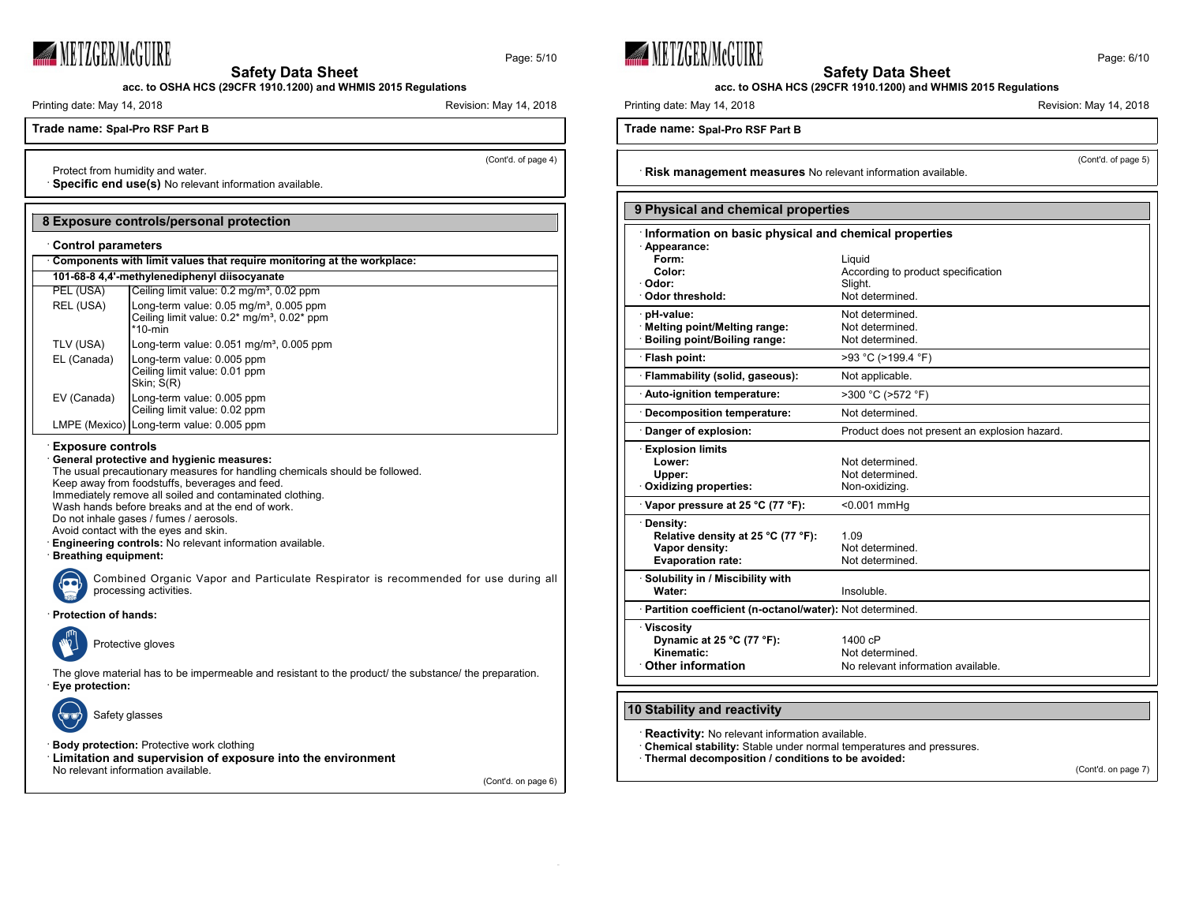

Page: 5/10

**acc. to OSHA HCS (29CFR 1910.1200) and WHMIS 2015 Regulations**

Printing date: May 14, 2018 **Printing date: May 14, 2018** Revision: May 14, 2018

**Trade name: Spal-Pro RSF Part B**

(Cont'd. of page 4)

Protect from humidity and water. · **Specific end use(s)** No relevant information available.

## **8 Exposure controls/personal protection**

#### · **Control parameters**

| Components with limit values that require monitoring at the workplace: |                                                                                                                                  |  |
|------------------------------------------------------------------------|----------------------------------------------------------------------------------------------------------------------------------|--|
| 101-68-8 4.4'-methylenediphenyl diisocyanate                           |                                                                                                                                  |  |
| PEL (USA)                                                              | Ceiling limit value: 0.2 mg/m <sup>3</sup> , 0.02 ppm                                                                            |  |
| REL (USA)                                                              | Long-term value: $0.05$ mg/m <sup>3</sup> , $0.005$ ppm<br>Ceiling limit value: 0.2* mg/m <sup>3</sup> , 0.02* ppm<br>$*10$ -min |  |
| TLV (USA)                                                              | Long-term value: $0.051$ mg/m <sup>3</sup> , $0.005$ ppm                                                                         |  |
| EL (Canada)                                                            | Long-term value: 0.005 ppm<br>Ceiling limit value: 0.01 ppm<br>Skin; S(R)                                                        |  |
| EV (Canada)                                                            | Long-term value: 0.005 ppm<br>Ceiling limit value: 0.02 ppm                                                                      |  |
|                                                                        | LMPE (Mexico) Long-term value: 0.005 ppm                                                                                         |  |
|                                                                        |                                                                                                                                  |  |

#### · **Exposure controls**

· **General protective and hygienic measures:** The usual precautionary measures for handling chemicals should be followed. Keep away from foodstuffs, beverages and feed. Immediately remove all soiled and contaminated clothing. Wash hands before breaks and at the end of work. Do not inhale gases / fumes / aerosols. Avoid contact with the eyes and skin. · **Engineering controls:** No relevant information available. · **Breathing equipment:**

Combined Organic Vapor and Particulate Respirator is recommended for use during all processing activities.

#### · **Protection of hands:**



Protective gloves

The glove material has to be impermeable and resistant to the product/ the substance/ the preparation. · **Eye protection:**



· **Body protection:** Protective work clothing · **Limitation and supervision of exposure into the environment** No relevant information available.

(Cont'd. on page 6)





**acc. to OSHA HCS (29CFR 1910.1200) and WHMIS 2015 Regulations**

Printing date: May 14, 2018 **Printing date: May 14, 2018** Revision: May 14, 2018

**Trade name: Spal-Pro RSF Part B**

(Cont'd. of page 5)

· **Risk management measures** No relevant information available.

## **9 Physical and chemical properties**

| Information on basic physical and chemical properties      |                                               |  |  |
|------------------------------------------------------------|-----------------------------------------------|--|--|
| Appearance:                                                |                                               |  |  |
| Form:                                                      | Liquid                                        |  |  |
| Color:                                                     | According to product specification            |  |  |
| Odor:                                                      | Slight.                                       |  |  |
| Odor threshold:                                            | Not determined.                               |  |  |
| pH-value:                                                  | Not determined.                               |  |  |
| · Melting point/Melting range:                             | Not determined.                               |  |  |
| · Boiling point/Boiling range:                             | Not determined.                               |  |  |
| · Flash point:                                             | >93 °C (>199.4 °F)                            |  |  |
| · Flammability (solid, gaseous):                           | Not applicable.                               |  |  |
| Auto-ignition temperature:                                 | >300 °C (>572 °F)                             |  |  |
| Decomposition temperature:                                 | Not determined.                               |  |  |
| Danger of explosion:                                       | Product does not present an explosion hazard. |  |  |
| <b>Explosion limits</b>                                    |                                               |  |  |
| Lower:                                                     | Not determined.                               |  |  |
| Upper:                                                     | Not determined.                               |  |  |
| Oxidizing properties:                                      | Non-oxidizing.                                |  |  |
| Vapor pressure at 25 °C (77 °F):                           | <0.001 mmHq                                   |  |  |
| Density:                                                   |                                               |  |  |
| Relative density at 25 °C (77 °F):                         | 1.09                                          |  |  |
| Vapor density:                                             | Not determined.                               |  |  |
| <b>Evaporation rate:</b>                                   | Not determined.                               |  |  |
| Solubility in / Miscibility with                           |                                               |  |  |
| Water:                                                     | Insoluble.                                    |  |  |
| · Partition coefficient (n-octanol/water): Not determined. |                                               |  |  |
| <b>Viscosity</b>                                           |                                               |  |  |
| Dynamic at 25 °C (77 °F):                                  | 1400 cP                                       |  |  |
| Kinematic:                                                 | Not determined.                               |  |  |
| <b>Other information</b>                                   | No relevant information available.            |  |  |
|                                                            |                                               |  |  |

## **10 Stability and reactivity**

· **Reactivity:** No relevant information available.

· **Chemical stability:** Stable under normal temperatures and pressures.

· **Thermal decomposition / conditions to be avoided:**

(Cont'd. on page 7)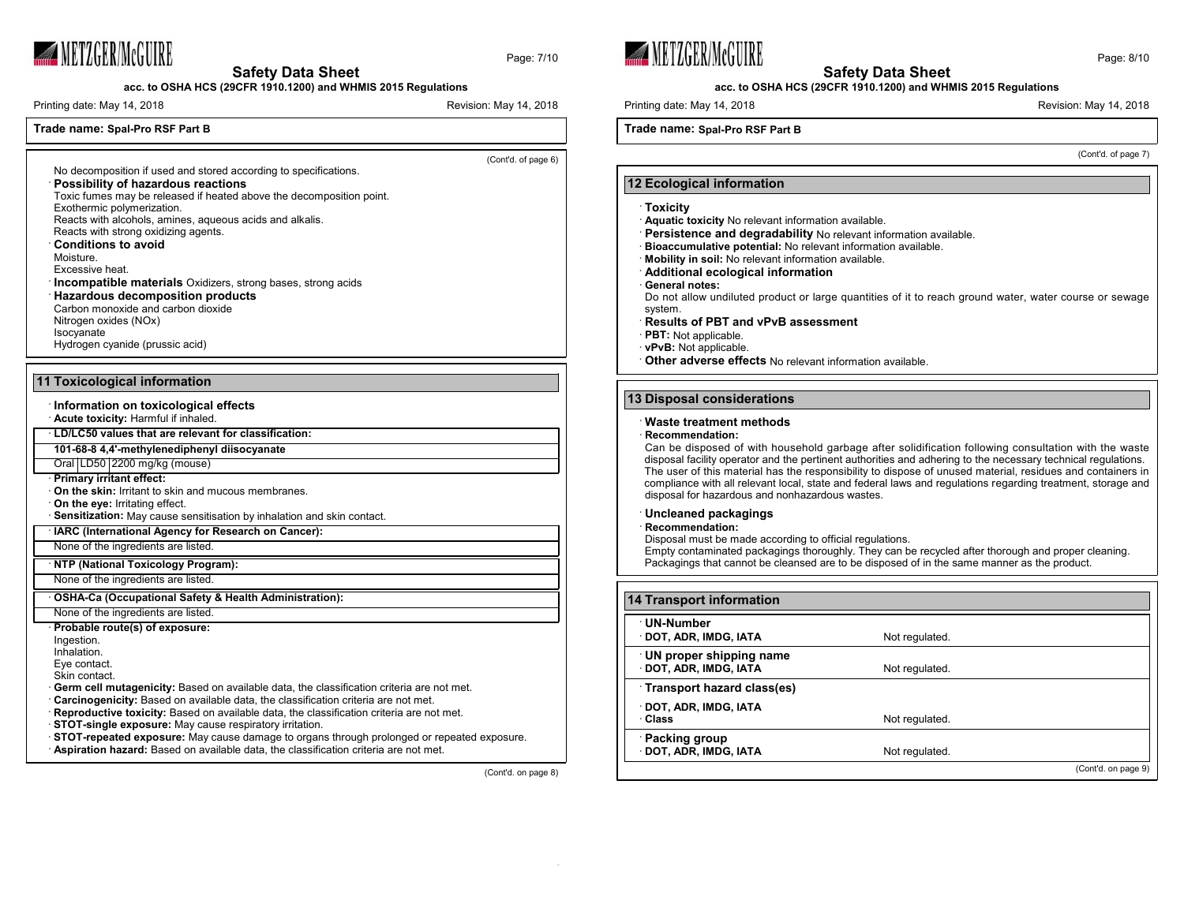

**acc. to OSHA HCS (29CFR 1910.1200) and WHMIS 2015 Regulations**

Printing date: May 14, 2018 Revision: May 14, 2018

## **Trade name: Spal-Pro RSF Part B**

(Cont'd. of page 6)

Page: 7/10

· **Possibility of hazardous reactions** Toxic fumes may be released if heated above the decomposition point. Exothermic polymerization. Reacts with alcohols, amines, aqueous acids and alkalis.

No decomposition if used and stored according to specifications.

- Reacts with strong oxidizing agents.
- · **Conditions to avoid**
- Moisture.
- Excessive heat.
- · **Incompatible materials** Oxidizers, strong bases, strong acids · **Hazardous decomposition products**
- Carbon monoxide and carbon dioxide
- Nitrogen oxides (NOx) Isocyanate
- Hydrogen cyanide (prussic acid)

## **11 Toxicological information**

- · **Information on toxicological effects**
- · **Acute toxicity:** Harmful if inhaled.
- · **LD/LC50 values that are relevant for classification:**
- **101-68-8 4,4'-methylenediphenyl diisocyanate**
- Oral LD50 2200 mg/kg (mouse)
- · **Primary irritant effect:**
- · **On the skin:** Irritant to skin and mucous membranes.
- · **On the eye:** Irritating effect.
- · **Sensitization:** May cause sensitisation by inhalation and skin contact.
- · **IARC (International Agency for Research on Cancer):**
- None of the ingredients are listed.
- · **NTP (National Toxicology Program):**
- None of the ingredients are listed.
- · **OSHA-Ca (Occupational Safety & Health Administration):**
- None of the ingredients are listed.
- · **Probable route(s) of exposure:**
- Ingestion.
- Inhalation.
- Eye contact.
- Skin contact.
- · **Germ cell mutagenicity:** Based on available data, the classification criteria are not met.
- · **Carcinogenicity:** Based on available data, the classification criteria are not met.
- · **Reproductive toxicity:** Based on available data, the classification criteria are not met.
- · **STOT-single exposure:** May cause respiratory irritation.
- · **STOT-repeated exposure:** May cause damage to organs through prolonged or repeated exposure.
- · **Aspiration hazard:** Based on available data, the classification criteria are not met.

(Cont'd. on page 8)





## **acc. to OSHA HCS (29CFR 1910.1200) and WHMIS 2015 Regulations**

Printing date: May 14, 2018 **Printing date: May 14, 2018** Revision: May 14, 2018

## **Trade name: Spal-Pro RSF Part B**

(Cont'd. of page 7)

#### **12 Ecological information**

#### · **Toxicity**

- · **Aquatic toxicity** No relevant information available.
- · **Persistence and degradability** No relevant information available.
- · **Bioaccumulative potential:** No relevant information available.
- · **Mobility in soil:** No relevant information available.
- · **Additional ecological information**
- · **General notes:**

Do not allow undiluted product or large quantities of it to reach ground water, water course or sewage system.

- · **Results of PBT and vPvB assessment**
- **PBT:** Not applicable.
- · **vPvB:** Not applicable.
- · **Other adverse effects** No relevant information available.

## **13 Disposal considerations**

#### · **Waste treatment methods**

· **Recommendation:**

Can be disposed of with household garbage after solidification following consultation with the waste disposal facility operator and the pertinent authorities and adhering to the necessary technical regulations. The user of this material has the responsibility to dispose of unused material, residues and containers in compliance with all relevant local, state and federal laws and regulations regarding treatment, storage and disposal for hazardous and nonhazardous wastes.

#### · **Uncleaned packagings**

· **Recommendation:**

Disposal must be made according to official regulations.

Empty contaminated packagings thoroughly. They can be recycled after thorough and proper cleaning. Packagings that cannot be cleansed are to be disposed of in the same manner as the product.

| <b>14 Transport information</b>                 |                |                     |
|-------------------------------------------------|----------------|---------------------|
| UN-Number<br>DOT, ADR, IMDG, IATA               | Not regulated. |                     |
| UN proper shipping name<br>DOT, ADR, IMDG, IATA | Not regulated. |                     |
| Transport hazard class(es)                      |                |                     |
| DOT, ADR, IMDG, IATA<br>∴Class                  | Not regulated. |                     |
| <b>Packing group</b><br>DOT, ADR, IMDG, IATA    | Not regulated. |                     |
|                                                 |                | (Cont'd. on page 9) |